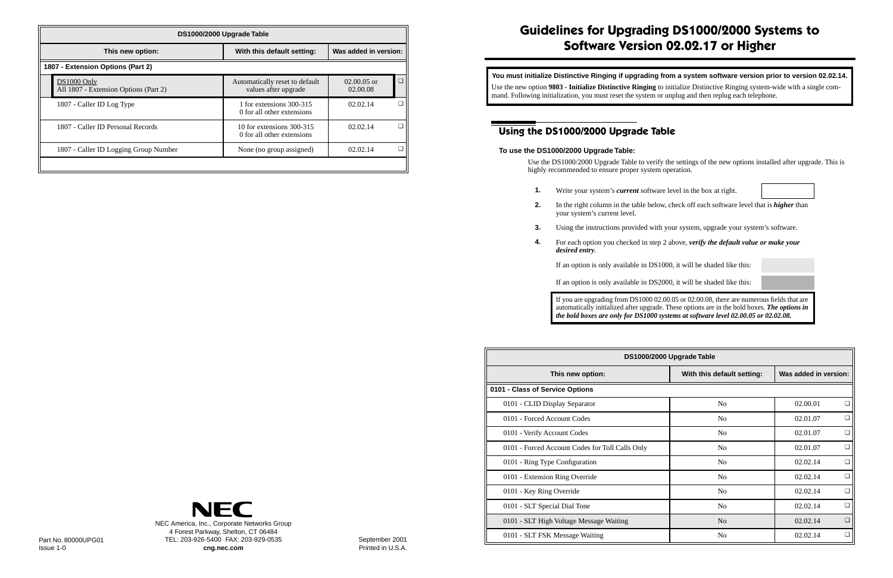| DS1000/2000 Upgrade Table                            |                                                         |                           |   |  |
|------------------------------------------------------|---------------------------------------------------------|---------------------------|---|--|
| This new option:                                     | With this default setting:                              | Was added in version:     |   |  |
| 1807 - Extension Options (Part 2)                    |                                                         |                           |   |  |
| DS1000 Only<br>All 1807 - Extension Options (Part 2) | Automatically reset to default<br>values after upgrade  | $02.00.05$ or<br>02.00.08 |   |  |
| 1807 - Caller ID Log Type                            | 1 for extensions 300-315<br>0 for all other extensions  | 02.02.14                  | г |  |
| 1807 - Caller ID Personal Records                    | 10 for extensions 300-315<br>0 for all other extensions | 02.02.14                  | □ |  |
| 1807 - Caller ID Logging Group Number                | None (no group assigned)                                | 02.02.14                  | □ |  |
|                                                      |                                                         |                           |   |  |

# **Guidelines for Upgrading DS1000/2000 Systems to Software Version 02.02.17 or Higher**

## **Using the DS1000/2000 Upgrade Table**

### **To use the DS1000/2000 Upgrade Table:**

Use the DS1000/2000 Upgrade Table to verify the settings of the new options installed after upgrade. This is highly recommended to ensure proper system operation.

**You must initialize Distinctive Ringing if upgrading from a system software version prior to version 02.02.14.** Use the new option **9803 - Initialize Distinctive Ringing** to initialize Distinctive Ringing system-wide with a single command. Following initialization, you must reset the system or unplug and then replug each telephone.

**2.** In the right column in the table below, check off each software level that is *higher* than

- **1.** Write your system's *current* software level in the box at right.
- your system's current level.
- 
- *desired entry*.

**3.** Using the instructions provided with your system, upgrade your system's software.

**4.** For each option you checked in step 2 above, *verify the default value or make your* 

If an option is only available in DS1000, it will be shaded like this:

If an option is only available in DS2000, it will be shaded like this:

If you are upgrading from DS1000 02.00.05 or 02.00.08, there are numerous fields that are automatically initialized after upgrade. These options are in the bold boxes. *The options in the bold boxes are only for DS1000 systems at software level 02.00.05 or 02.02.08.*

|                                                                            |                |                                                 | DS1000/2000 Upgrade Table<br>Was added in version:<br>This new option:<br>With this default setting:<br>0101 - Class of Service Options<br>$\Box$ |                    |
|----------------------------------------------------------------------------|----------------|-------------------------------------------------|---------------------------------------------------------------------------------------------------------------------------------------------------|--------------------|
|                                                                            |                |                                                 |                                                                                                                                                   |                    |
|                                                                            |                |                                                 |                                                                                                                                                   |                    |
|                                                                            |                | 0101 - CLID Display Separator                   | No                                                                                                                                                | 02.00.01           |
|                                                                            |                | 0101 - Forced Account Codes                     | No                                                                                                                                                | $\Box$<br>02.01.07 |
|                                                                            |                | 0101 - Verify Account Codes                     | No                                                                                                                                                | $\Box$<br>02.01.07 |
|                                                                            |                | 0101 - Forced Account Codes for Toll Calls Only | No                                                                                                                                                | $\Box$<br>02.01.07 |
|                                                                            |                | 0101 - Ring Type Configuration                  | No                                                                                                                                                | $\Box$<br>02.02.14 |
|                                                                            |                | 0101 - Extension Ring Override                  | No                                                                                                                                                | $\Box$<br>02.02.14 |
|                                                                            |                | 0101 - Key Ring Override                        | No                                                                                                                                                | $\Box$<br>02.02.14 |
| <b>NEC</b>                                                                 |                | 0101 - SLT Special Dial Tone                    | No                                                                                                                                                | $\Box$<br>02.02.14 |
| NEC America, Inc., Corporate Networks Group                                |                | 0101 - SLT High Voltage Message Waiting         | N <sub>o</sub>                                                                                                                                    | $\Box$<br>02.02.14 |
| 4 Forest Parkway, Shelton, CT 06484<br>TEL: 203-926-5400 FAX: 203-929-0535 | September 2001 | 0101 - SLT FSK Message Waiting                  | N <sub>o</sub>                                                                                                                                    | $\Box$<br>02.02.14 |

September 2001 Printed in U.S.A.